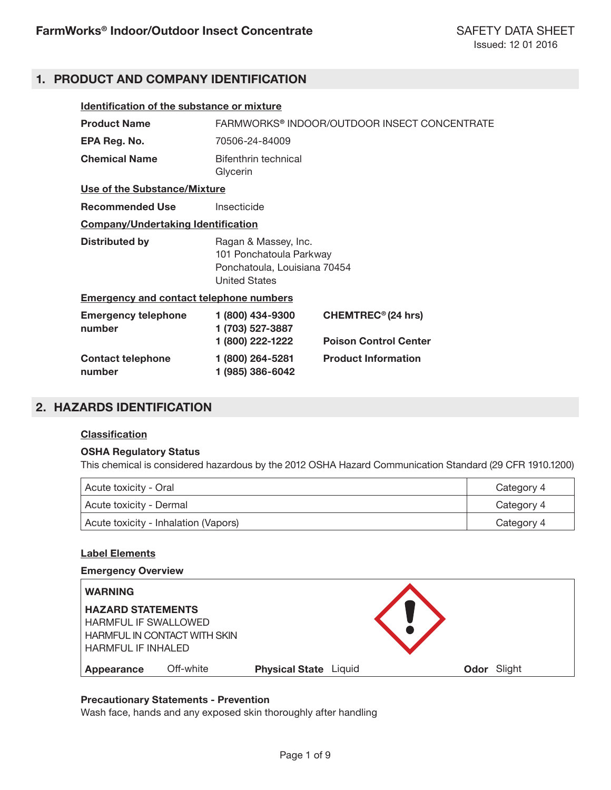# **1. PRODUCT AND COMPANY IDENTIFICATION**

| Identification of the substance or mixture     |                                                                                                         |                                                                |
|------------------------------------------------|---------------------------------------------------------------------------------------------------------|----------------------------------------------------------------|
| <b>Product Name</b>                            | FARMWORKS® INDOOR/OUTDOOR INSECT CONCENTRATE                                                            |                                                                |
| EPA Reg. No.                                   | 70506-24-84009                                                                                          |                                                                |
| <b>Chemical Name</b>                           | Bifenthrin technical<br>Glycerin                                                                        |                                                                |
| Use of the Substance/Mixture                   |                                                                                                         |                                                                |
| <b>Recommended Use</b>                         | Insecticide                                                                                             |                                                                |
| <b>Company/Undertaking Identification</b>      |                                                                                                         |                                                                |
| <b>Distributed by</b>                          | Ragan & Massey, Inc.<br>101 Ponchatoula Parkway<br>Ponchatoula, Louisiana 70454<br><b>United States</b> |                                                                |
| <b>Emergency and contact telephone numbers</b> |                                                                                                         |                                                                |
| <b>Emergency telephone</b><br>number           | 1 (800) 434-9300<br>1 (703) 527-3887<br>1 (800) 222-1222                                                | CHEMTREC <sup>®</sup> (24 hrs)<br><b>Poison Control Center</b> |
| <b>Contact telephone</b><br>number             | 1 (800) 264-5281<br>1 (985) 386-6042                                                                    | <b>Product Information</b>                                     |

# **2. HAZARDS IDENTIFICATION**

## **Classification**

## **OSHA Regulatory Status**

This chemical is considered hazardous by the 2012 OSHA Hazard Communication Standard (29 CFR 1910.1200)

| Acute toxicity - Oral                | Category 4 |
|--------------------------------------|------------|
| Acute toxicity - Dermal              | Category 4 |
| Acute toxicity - Inhalation (Vapors) | Category 4 |

## **Label Elements**

#### **Emergency Overview**

| <b>WARNING</b>              |                                     |                              |  |             |
|-----------------------------|-------------------------------------|------------------------------|--|-------------|
| <b>HAZARD STATEMENTS</b>    |                                     |                              |  |             |
| <b>HARMFUL IF SWALLOWED</b> |                                     |                              |  |             |
|                             | <b>HARMFUL IN CONTACT WITH SKIN</b> |                              |  |             |
| HARMFUL IF INHALED          |                                     |                              |  |             |
| Appearance                  | Off-white                           | <b>Physical State Liquid</b> |  | Odor Slight |

## **Precautionary Statements - Prevention**

Wash face, hands and any exposed skin thoroughly after handling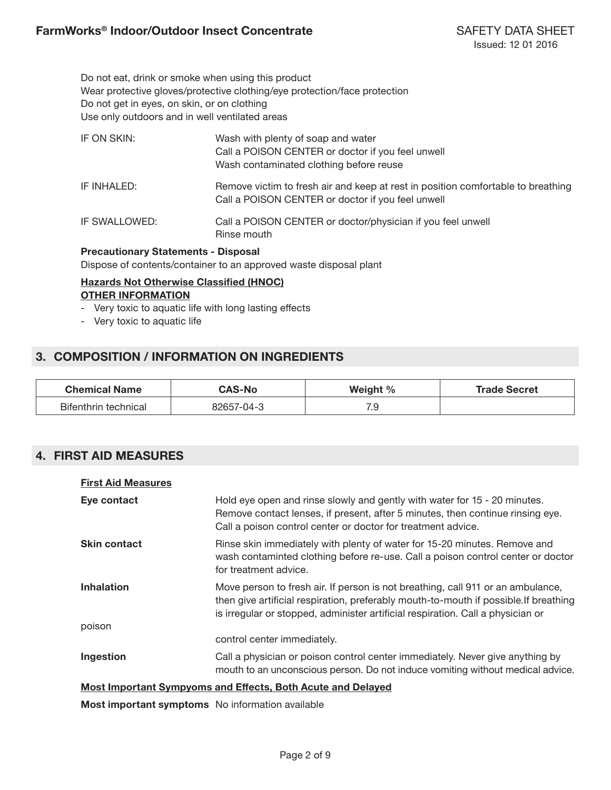Do not eat, drink or smoke when using this product Wear protective gloves/protective clothing/eye protection/face protection Do not get in eyes, on skin, or on clothing Use only outdoors and in well ventilated areas

| IF ON SKIN:   | Wash with plenty of soap and water<br>Call a POISON CENTER or doctor if you feel unwell<br>Wash contaminated clothing before reuse    |
|---------------|---------------------------------------------------------------------------------------------------------------------------------------|
| IF INHALED:   | Remove victim to fresh air and keep at rest in position comfortable to breathing<br>Call a POISON CENTER or doctor if you feel unwell |
| IF SWALLOWED: | Call a POISON CENTER or doctor/physician if you feel unwell<br>Rinse mouth                                                            |

## **Precautionary Statements - Disposal**

Dispose of contents/container to an approved waste disposal plant

## **Hazards Not Otherwise Classified (HNOC) OTHER INFORMATION**

- Very toxic to aquatic life with long lasting effects
- Very toxic to aquatic life

# **3. COMPOSITION / INFORMATION ON INGREDIENTS**

| <b>Chemical Name</b> | <b>CAS-No</b> | Weight $\%$ | <b>Trade Secret</b> |
|----------------------|---------------|-------------|---------------------|
| Bifenthrin technical | 82657-04-3    | 70<br>ن. ا  |                     |

# **4. FIRST AID MEASURES**

| <b>First Aid Measures</b> |                                                                                                                                                                                                                                                             |
|---------------------------|-------------------------------------------------------------------------------------------------------------------------------------------------------------------------------------------------------------------------------------------------------------|
| Eye contact               | Hold eye open and rinse slowly and gently with water for 15 - 20 minutes.<br>Remove contact lenses, if present, after 5 minutes, then continue rinsing eye.<br>Call a poison control center or doctor for treatment advice.                                 |
| <b>Skin contact</b>       | Rinse skin immediately with plenty of water for 15-20 minutes. Remove and<br>wash contaminted clothing before re-use. Call a poison control center or doctor<br>for treatment advice.                                                                       |
| <b>Inhalation</b>         | Move person to fresh air. If person is not breathing, call 911 or an ambulance,<br>then give artificial respiration, preferably mouth-to-mouth if possible. If breathing<br>is irregular or stopped, administer artificial respiration. Call a physician or |
| poison                    |                                                                                                                                                                                                                                                             |
|                           | control center immediately.                                                                                                                                                                                                                                 |
| Ingestion                 | Call a physician or poison control center immediately. Never give anything by<br>mouth to an unconscious person. Do not induce vomiting without medical advice.                                                                                             |
|                           | <b>Most Important Sympyoms and Effects, Both Acute and Delayed</b>                                                                                                                                                                                          |

**Most important symptoms** No information available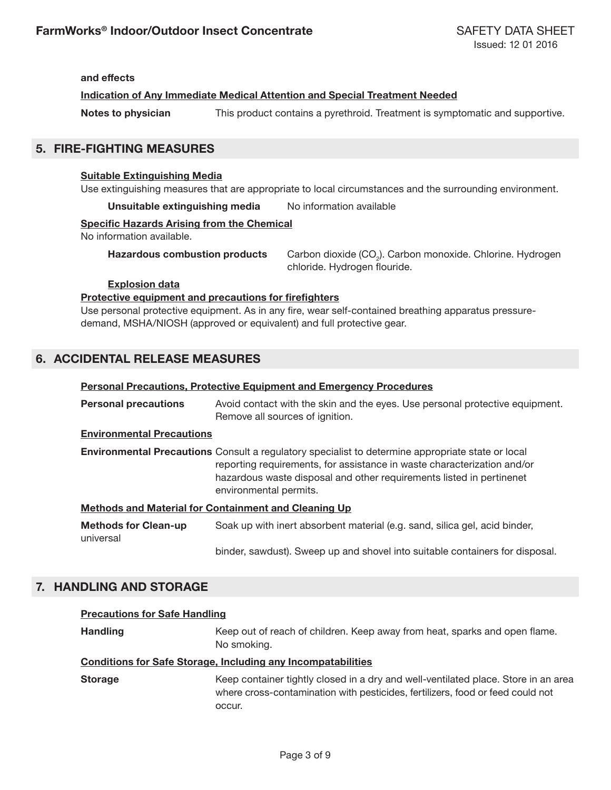**and effects**

**Indication of Any Immediate Medical Attention and Special Treatment Needed**

**Notes to physician** This product contains a pyrethroid. Treatment is symptomatic and supportive.

# **5. FIRE-FIGHTING MEASURES**

## **Suitable Extinguishing Media**

Use extinguishing measures that are appropriate to local circumstances and the surrounding environment.

**Unsuitable extinguishing media** No information available

#### **Specific Hazards Arising from the Chemical**

No information available.

**Hazardous combustion products** 

Carbon dioxide (CO<sub>2</sub>). Carbon monoxide. Chlorine. Hydrogen chloride. Hydrogen flouride.

## **Explosion data**

## **Protective equipment and precautions for firefighters**

Use personal protective equipment. As in any fire, wear self-contained breathing apparatus pressuredemand, MSHA/NIOSH (approved or equivalent) and full protective gear.

# **6. ACCIDENTAL RELEASE MEASURES**

## **Personal Precautions, Protective Equipment and Emergency Procedures**

**Personal precautions** Avoid contact with the skin and the eyes. Use personal protective equipment. Remove all sources of ignition.

## **Environmental Precautions**

**Environmental Precautions** Consult a regulatory specialist to determine appropriate state or local reporting requirements, for assistance in waste characterization and/or hazardous waste disposal and other requirements listed in pertinenet environmental permits.

## **Methods and Material for Containment and Cleaning Up**

| <b>Methods for Clean-up</b> | Soak up with inert absorbent material (e.g. sand, silica gel, acid binder,   |
|-----------------------------|------------------------------------------------------------------------------|
| universal                   |                                                                              |
|                             | binder, sawdust). Sweep up and shovel into suitable containers for disposal. |

# **7. HANDLING AND STORAGE**

## **Precautions for Safe Handling**

**Handling** Keep out of reach of children. Keep away from heat, sparks and open flame. No smoking.

## **Conditions for Safe Storage, Including any Incompatabilities**

**Storage** Keep container tightly closed in a dry and well-ventilated place. Store in an area where cross-contamination with pesticides, fertilizers, food or feed could not occur.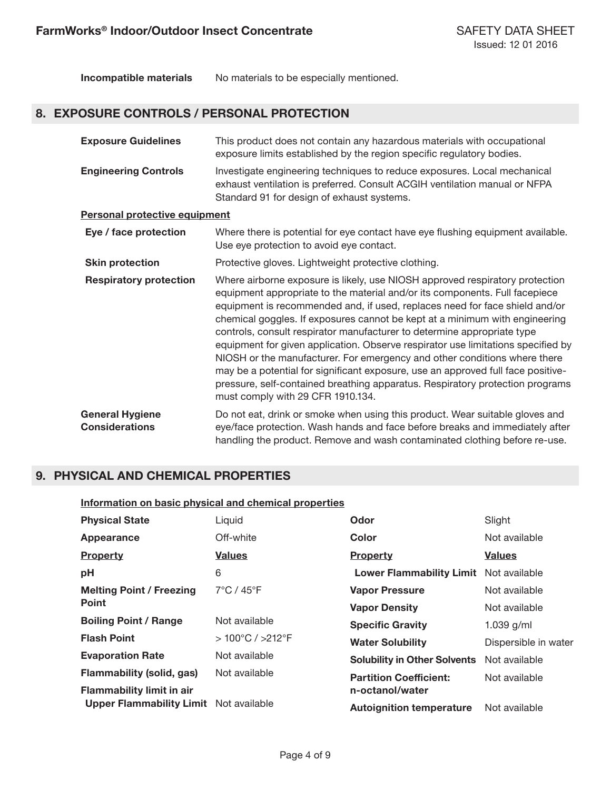**Incompatible materials** No materials to be especially mentioned.

# **8. EXPOSURE CONTROLS / PERSONAL PROTECTION**

| <b>Exposure Guidelines</b>                      | This product does not contain any hazardous materials with occupational<br>exposure limits established by the region specific regulatory bodies.                                                                                                                                                                                                                                                                                                                                                                                                                                                                                                                                                                                                                                |
|-------------------------------------------------|---------------------------------------------------------------------------------------------------------------------------------------------------------------------------------------------------------------------------------------------------------------------------------------------------------------------------------------------------------------------------------------------------------------------------------------------------------------------------------------------------------------------------------------------------------------------------------------------------------------------------------------------------------------------------------------------------------------------------------------------------------------------------------|
| <b>Engineering Controls</b>                     | Investigate engineering techniques to reduce exposures. Local mechanical<br>exhaust ventilation is preferred. Consult ACGIH ventilation manual or NFPA<br>Standard 91 for design of exhaust systems.                                                                                                                                                                                                                                                                                                                                                                                                                                                                                                                                                                            |
| <b>Personal protective equipment</b>            |                                                                                                                                                                                                                                                                                                                                                                                                                                                                                                                                                                                                                                                                                                                                                                                 |
| Eye / face protection                           | Where there is potential for eye contact have eye flushing equipment available.<br>Use eye protection to avoid eye contact.                                                                                                                                                                                                                                                                                                                                                                                                                                                                                                                                                                                                                                                     |
| <b>Skin protection</b>                          | Protective gloves. Lightweight protective clothing.                                                                                                                                                                                                                                                                                                                                                                                                                                                                                                                                                                                                                                                                                                                             |
| <b>Respiratory protection</b>                   | Where airborne exposure is likely, use NIOSH approved respiratory protection<br>equipment appropriate to the material and/or its components. Full facepiece<br>equipment is recommended and, if used, replaces need for face shield and/or<br>chemical goggles. If exposures cannot be kept at a minimum with engineering<br>controls, consult respirator manufacturer to determine appropriate type<br>equipment for given application. Observe respirator use limitations specified by<br>NIOSH or the manufacturer. For emergency and other conditions where there<br>may be a potential for significant exposure, use an approved full face positive-<br>pressure, self-contained breathing apparatus. Respiratory protection programs<br>must comply with 29 CFR 1910.134. |
| <b>General Hygiene</b><br><b>Considerations</b> | Do not eat, drink or smoke when using this product. Wear suitable gloves and<br>eye/face protection. Wash hands and face before breaks and immediately after<br>handling the product. Remove and wash contaminated clothing before re-use.                                                                                                                                                                                                                                                                                                                                                                                                                                                                                                                                      |

# **9. PHYSICAL AND CHEMICAL PROPERTIES**

#### **Information on basic physical and chemical properties**

| <b>Physical State</b>                         | Liquid                              | Odor                                   | Slight               |
|-----------------------------------------------|-------------------------------------|----------------------------------------|----------------------|
| Appearance                                    | Off-white                           | <b>Color</b>                           | Not available        |
| <b>Property</b>                               | <b>Values</b>                       | Property                               | <b>Values</b>        |
| pH                                            | 6                                   | Lower Flammability Limit Not available |                      |
| <b>Melting Point / Freezing</b>               | $7^{\circ}$ C / 45 $^{\circ}$ F     | <b>Vapor Pressure</b>                  | Not available        |
| <b>Point</b>                                  |                                     | <b>Vapor Density</b>                   | Not available        |
| <b>Boiling Point / Range</b>                  | Not available                       | <b>Specific Gravity</b>                | 1.039 $g/ml$         |
| <b>Flash Point</b>                            | $>100^{\circ}$ C / $>212^{\circ}$ F | <b>Water Solubility</b>                | Dispersible in water |
| <b>Evaporation Rate</b>                       | Not available                       | <b>Solubility in Other Solvents</b>    | Not available        |
| Flammability (solid, gas)                     | Not available                       | <b>Partition Coefficient:</b>          | Not available        |
| <b>Flammability limit in air</b>              |                                     | n-octanol/water                        |                      |
| <b>Upper Flammability Limit</b> Not available |                                     | <b>Autoignition temperature</b>        | Not available        |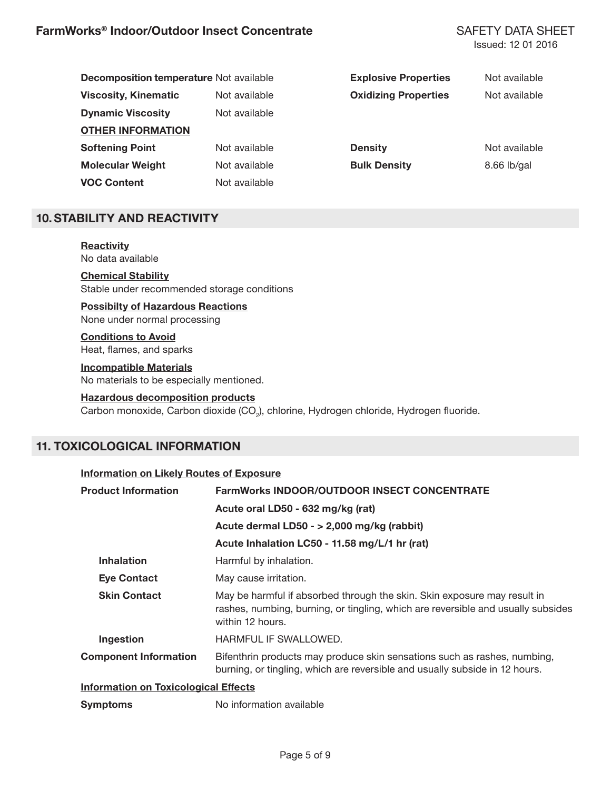| <b>Decomposition temperature Not available</b> |               | <b>Explosive Properties</b> | Not available |
|------------------------------------------------|---------------|-----------------------------|---------------|
| <b>Viscosity, Kinematic</b>                    | Not available | <b>Oxidizing Properties</b> | Not available |
| <b>Dynamic Viscosity</b>                       | Not available |                             |               |
| <b>OTHER INFORMATION</b>                       |               |                             |               |
| <b>Softening Point</b>                         | Not available | <b>Density</b>              | Not available |
| <b>Molecular Weight</b>                        | Not available | <b>Bulk Density</b>         | $8.66$ lb/gal |
| <b>VOC Content</b>                             | Not available |                             |               |

# **10.STABILITY AND REACTIVITY**

**Reactivity** No data available

**Chemical Stability** Stable under recommended storage conditions

**Possibilty of Hazardous Reactions** None under normal processing

**Conditions to Avoid** Heat, flames, and sparks

**Incompatible Materials** No materials to be especially mentioned.

## **Hazardous decomposition products**

 $\rm{Carbon}$  monoxide,  $\rm{Carbon}$  dioxide ( $\rm{CO_2}$ ), chlorine, Hydrogen chloride, Hydrogen fluoride.

# **11. TOXICOLOGICAL INFORMATION**

| Information on Likely Routes of Exposure    |                                                                                                                                                                                  |
|---------------------------------------------|----------------------------------------------------------------------------------------------------------------------------------------------------------------------------------|
| <b>Product Information</b>                  | <b>FarmWorks INDOOR/OUTDOOR INSECT CONCENTRATE</b>                                                                                                                               |
|                                             | Acute oral LD50 - 632 mg/kg (rat)                                                                                                                                                |
|                                             | Acute dermal LD50 - > 2,000 mg/kg (rabbit)                                                                                                                                       |
|                                             | Acute Inhalation LC50 - 11.58 mg/L/1 hr (rat)                                                                                                                                    |
| <b>Inhalation</b>                           | Harmful by inhalation.                                                                                                                                                           |
| <b>Eye Contact</b>                          | May cause irritation.                                                                                                                                                            |
| <b>Skin Contact</b>                         | May be harmful if absorbed through the skin. Skin exposure may result in<br>rashes, numbing, burning, or tingling, which are reversible and usually subsides<br>within 12 hours. |
| Ingestion                                   | HARMFUL IF SWALLOWED.                                                                                                                                                            |
| <b>Component Information</b>                | Bifenthrin products may produce skin sensations such as rashes, numbing,<br>burning, or tingling, which are reversible and usually subside in 12 hours.                          |
| <b>Information on Toxicological Effects</b> |                                                                                                                                                                                  |
| <b>Symptoms</b>                             | No information available                                                                                                                                                         |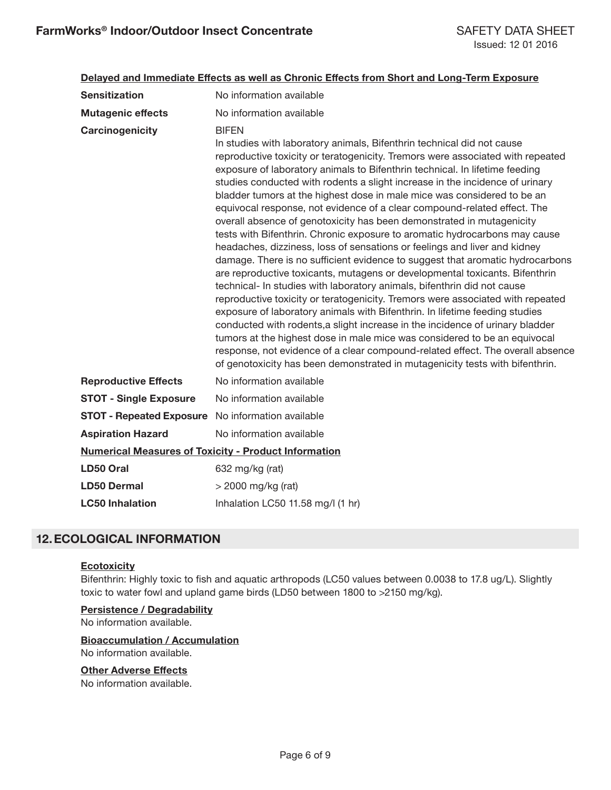## **Delayed and Immediate Effects as well as Chronic Effects from Short and Long-Term Exposure**

| <b>Sensitization</b>                                        | No information available                                                                                                                                                                                                                                                                                                                                                                                                                                                                                                                                                                                                                                                                                                                                                                                                                                                                                                                                                                                                                                                                                                                                                                                                                                                                                                                                                                                                                                                       |
|-------------------------------------------------------------|--------------------------------------------------------------------------------------------------------------------------------------------------------------------------------------------------------------------------------------------------------------------------------------------------------------------------------------------------------------------------------------------------------------------------------------------------------------------------------------------------------------------------------------------------------------------------------------------------------------------------------------------------------------------------------------------------------------------------------------------------------------------------------------------------------------------------------------------------------------------------------------------------------------------------------------------------------------------------------------------------------------------------------------------------------------------------------------------------------------------------------------------------------------------------------------------------------------------------------------------------------------------------------------------------------------------------------------------------------------------------------------------------------------------------------------------------------------------------------|
| <b>Mutagenic effects</b>                                    | No information available                                                                                                                                                                                                                                                                                                                                                                                                                                                                                                                                                                                                                                                                                                                                                                                                                                                                                                                                                                                                                                                                                                                                                                                                                                                                                                                                                                                                                                                       |
| Carcinogenicity                                             | <b>BIFEN</b><br>In studies with laboratory animals, Bifenthrin technical did not cause<br>reproductive toxicity or teratogenicity. Tremors were associated with repeated<br>exposure of laboratory animals to Bifenthrin technical. In lifetime feeding<br>studies conducted with rodents a slight increase in the incidence of urinary<br>bladder tumors at the highest dose in male mice was considered to be an<br>equivocal response, not evidence of a clear compound-related effect. The<br>overall absence of genotoxicity has been demonstrated in mutagenicity<br>tests with Bifenthrin. Chronic exposure to aromatic hydrocarbons may cause<br>headaches, dizziness, loss of sensations or feelings and liver and kidney<br>damage. There is no sufficient evidence to suggest that aromatic hydrocarbons<br>are reproductive toxicants, mutagens or developmental toxicants. Bifenthrin<br>technical- In studies with laboratory animals, bifenthrin did not cause<br>reproductive toxicity or teratogenicity. Tremors were associated with repeated<br>exposure of laboratory animals with Bifenthrin. In lifetime feeding studies<br>conducted with rodents, a slight increase in the incidence of urinary bladder<br>tumors at the highest dose in male mice was considered to be an equivocal<br>response, not evidence of a clear compound-related effect. The overall absence<br>of genotoxicity has been demonstrated in mutagenicity tests with bifenthrin. |
| <b>Reproductive Effects</b>                                 | No information available                                                                                                                                                                                                                                                                                                                                                                                                                                                                                                                                                                                                                                                                                                                                                                                                                                                                                                                                                                                                                                                                                                                                                                                                                                                                                                                                                                                                                                                       |
| <b>STOT - Single Exposure</b>                               | No information available                                                                                                                                                                                                                                                                                                                                                                                                                                                                                                                                                                                                                                                                                                                                                                                                                                                                                                                                                                                                                                                                                                                                                                                                                                                                                                                                                                                                                                                       |
| <b>STOT - Repeated Exposure</b> No information available    |                                                                                                                                                                                                                                                                                                                                                                                                                                                                                                                                                                                                                                                                                                                                                                                                                                                                                                                                                                                                                                                                                                                                                                                                                                                                                                                                                                                                                                                                                |
| <b>Aspiration Hazard</b>                                    | No information available                                                                                                                                                                                                                                                                                                                                                                                                                                                                                                                                                                                                                                                                                                                                                                                                                                                                                                                                                                                                                                                                                                                                                                                                                                                                                                                                                                                                                                                       |
| <b>Numerical Measures of Toxicity - Product Information</b> |                                                                                                                                                                                                                                                                                                                                                                                                                                                                                                                                                                                                                                                                                                                                                                                                                                                                                                                                                                                                                                                                                                                                                                                                                                                                                                                                                                                                                                                                                |
| LD50 Oral                                                   | 632 mg/kg (rat)                                                                                                                                                                                                                                                                                                                                                                                                                                                                                                                                                                                                                                                                                                                                                                                                                                                                                                                                                                                                                                                                                                                                                                                                                                                                                                                                                                                                                                                                |
| <b>LD50 Dermal</b>                                          | $>$ 2000 mg/kg (rat)                                                                                                                                                                                                                                                                                                                                                                                                                                                                                                                                                                                                                                                                                                                                                                                                                                                                                                                                                                                                                                                                                                                                                                                                                                                                                                                                                                                                                                                           |
| <b>LC50 Inhalation</b>                                      | Inhalation LC50 11.58 mg/l (1 hr)                                                                                                                                                                                                                                                                                                                                                                                                                                                                                                                                                                                                                                                                                                                                                                                                                                                                                                                                                                                                                                                                                                                                                                                                                                                                                                                                                                                                                                              |

# **12.ECOLOGICAL INFORMATION**

## **Ecotoxicity**

Bifenthrin: Highly toxic to fish and aquatic arthropods (LC50 values between 0.0038 to 17.8 ug/L). Slightly toxic to water fowl and upland game birds (LD50 between 1800 to >2150 mg/kg).

## **Persistence / Degradability**

No information available.

## **Bioaccumulation / Accumulation**

No information available.

## **Other Adverse Effects**

No information available.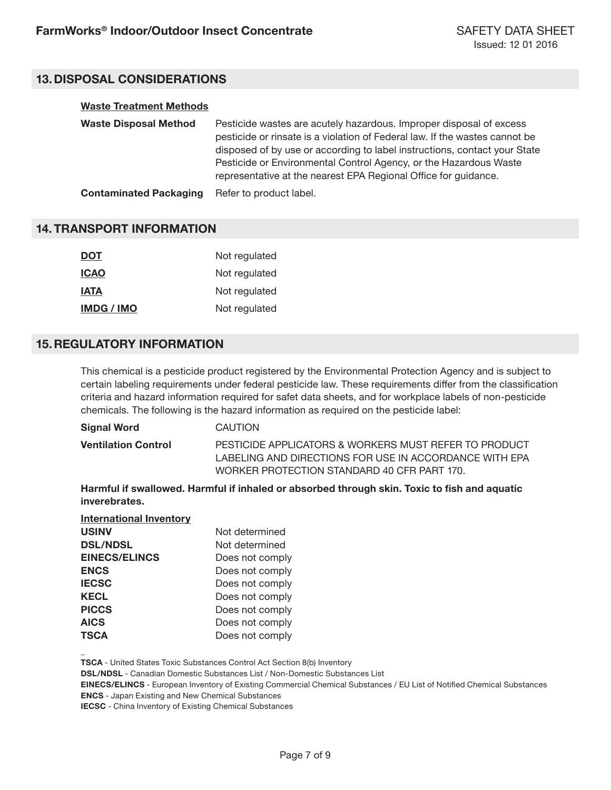# **13.DISPOSAL CONSIDERATIONS**

## **Waste Treatment Methods**

| <b>Waste Disposal Method</b>  | Pesticide wastes are acutely hazardous. Improper disposal of excess<br>pesticide or rinsate is a violation of Federal law. If the wastes cannot be<br>disposed of by use or according to label instructions, contact your State<br>Pesticide or Environmental Control Agency, or the Hazardous Waste<br>representative at the nearest EPA Regional Office for guidance. |
|-------------------------------|-------------------------------------------------------------------------------------------------------------------------------------------------------------------------------------------------------------------------------------------------------------------------------------------------------------------------------------------------------------------------|
| <b>Contaminated Packaging</b> | Refer to product label.                                                                                                                                                                                                                                                                                                                                                 |

## **14. TRANSPORT INFORMATION**

| <b>DOT</b>               | Not regulated |
|--------------------------|---------------|
| <b>ICAO</b>              | Not regulated |
| <b>IATA</b>              | Not regulated |
| <b>IMDG</b> / <b>IMO</b> | Not regulated |

# **15.REGULATORY INFORMATION**

**\_**

This chemical is a pesticide product registered by the Environmental Protection Agency and is subject to certain labeling requirements under federal pesticide law. These requirements differ from the classification criteria and hazard information required for safet data sheets, and for workplace labels of non-pesticide chemicals. The following is the hazard information as required on the pesticide label:

| Signal Word                | CAUTION                                                                                                                                                        |
|----------------------------|----------------------------------------------------------------------------------------------------------------------------------------------------------------|
| <b>Ventilation Control</b> | PESTICIDE APPLICATORS & WORKERS MUST REFER TO PRODUCT<br>LABELING AND DIRECTIONS FOR USE IN ACCORDANCE WITH EPA<br>WORKER PROTECTION STANDARD 40 CFR PART 170. |
|                            |                                                                                                                                                                |

**Harmful if swallowed. Harmful if inhaled or absorbed through skin. Toxic to fish and aquatic inverebrates.**

| <b>International Inventory</b> |                 |
|--------------------------------|-----------------|
| <b>USINV</b>                   | Not determined  |
| <b>DSL/NDSL</b>                | Not determined  |
| <b>EINECS/ELINCS</b>           | Does not comply |
| <b>ENCS</b>                    | Does not comply |
| <b>IECSC</b>                   | Does not comply |
| <b>KECL</b>                    | Does not comply |
| <b>PICCS</b>                   | Does not comply |
| <b>AICS</b>                    | Does not comply |
| <b>TSCA</b>                    | Does not comply |
|                                |                 |

**TSCA** - United States Toxic Substances Control Act Section 8(b) Inventory

**DSL/NDSL** - Canadian Domestic Substances List / Non-Domestic Substances List

**EINECS/ELINCS** - European Inventory of Existing Commercial Chemical Substances / EU List of Notified Chemical Substances **ENCS** - Japan Existing and New Chemical Substances

**IECSC** - China Inventory of Existing Chemical Substances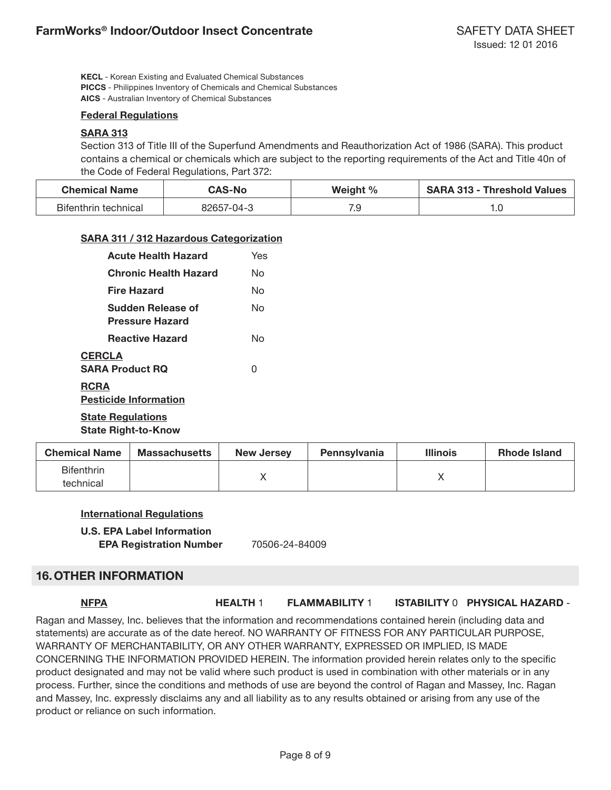**KECL** - Korean Existing and Evaluated Chemical Substances **PICCS** - Philippines Inventory of Chemicals and Chemical Substances **AICS** - Australian Inventory of Chemical Substances

## **Federal Regulations**

## **SARA 313**

Section 313 of Title III of the Superfund Amendments and Reauthorization Act of 1986 (SARA). This product contains a chemical or chemicals which are subject to the reporting requirements of the Act and Title 40n of the Code of Federal Regulations, Part 372:

| <b>Chemical Name</b> | <b>CAS-No</b> | Weight % | <b>SARA 313 - Threshold Values</b> |
|----------------------|---------------|----------|------------------------------------|
| Bifenthrin technical | 82657-04-3    | 7.S      | ט ו                                |

## **SARA 311 / 312 Hazardous Categorization**

| <b>Acute Health Hazard</b>                  | Yes |
|---------------------------------------------|-----|
| <b>Chronic Health Hazard</b>                | N٥  |
| Fire Hazard                                 | N٥  |
| Sudden Release of<br><b>Pressure Hazard</b> | N٥  |
| <b>Reactive Hazard</b>                      | N٥  |
| <b>CERCLA</b><br><b>SARA Product RQ</b>     | O   |
| <b>RCRA</b><br><b>Pesticide Information</b> |     |
| <b>State Regulations</b>                    |     |

**State Right-to-Know**

| <b>Chemical Name</b>           | <b>Massachusetts</b> | <b>New Jersey</b> | <b>Pennsylvania</b> | <b>Illinois</b> | <b>Rhode Island</b> |
|--------------------------------|----------------------|-------------------|---------------------|-----------------|---------------------|
| <b>Bifenthrin</b><br>technical |                      |                   |                     |                 |                     |

## **International Regulations**

## **U.S. EPA Label Information**

**EPA Registration Number** 70506-24-84009

## **16.OTHER INFORMATION**

## **NFPA HEALTH** 1 **FLAMMABILITY** 1 **ISTABILITY** 0 **PHYSICAL HAZARD** -

Ragan and Massey, Inc. believes that the information and recommendations contained herein (including data and statements) are accurate as of the date hereof. NO WARRANTY OF FITNESS FOR ANY PARTICULAR PURPOSE, WARRANTY OF MERCHANTABILITY, OR ANY OTHER WARRANTY, EXPRESSED OR IMPLIED, IS MADE CONCERNING THE INFORMATION PROVIDED HEREIN. The information provided herein relates only to the specific product designated and may not be valid where such product is used in combination with other materials or in any process. Further, since the conditions and methods of use are beyond the control of Ragan and Massey, Inc. Ragan and Massey, Inc. expressly disclaims any and all liability as to any results obtained or arising from any use of the product or reliance on such information.